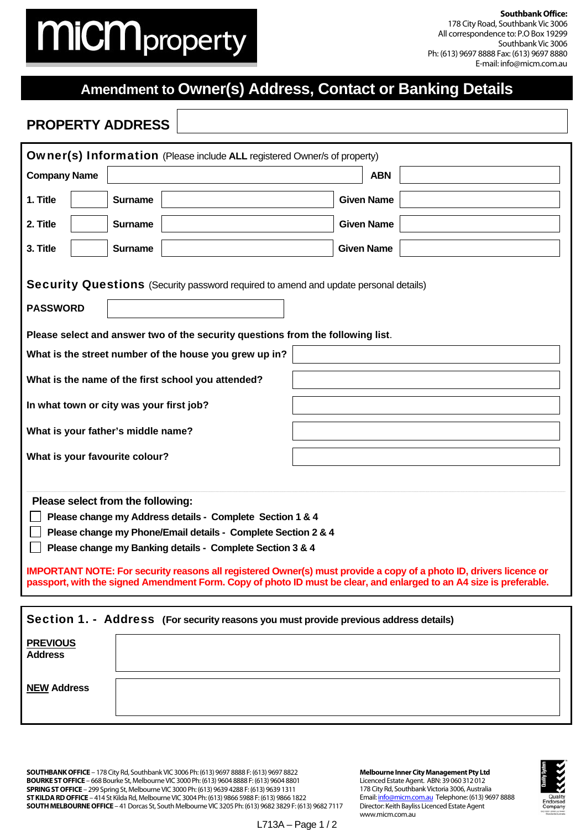## **MiCM**property

**Southbank Office:**  178 City Road, Southbank Vic 3006 All correspondence to: P.O Box 19299 Southbank Vic 3006 Ph: (613) 9697 8888 Fax: (613) 9697 8880 E-mail: info@micm.com.au

## **Amendment to Owner(s) Address, Contact or Banking Details**

## **PROPERTY ADDRESS**

| <b>Owner(s) Information</b> (Please include ALL registered Owner/s of property)                                                                                                                                                                                                                                                                                                                                                                                           |                                     |  |  |  |  |  |  |  |
|---------------------------------------------------------------------------------------------------------------------------------------------------------------------------------------------------------------------------------------------------------------------------------------------------------------------------------------------------------------------------------------------------------------------------------------------------------------------------|-------------------------------------|--|--|--|--|--|--|--|
| <b>Company Name</b><br><b>ABN</b>                                                                                                                                                                                                                                                                                                                                                                                                                                         |                                     |  |  |  |  |  |  |  |
| 1. Title                                                                                                                                                                                                                                                                                                                                                                                                                                                                  | <b>Given Name</b><br><b>Surname</b> |  |  |  |  |  |  |  |
| 2. Title                                                                                                                                                                                                                                                                                                                                                                                                                                                                  | <b>Surname</b><br><b>Given Name</b> |  |  |  |  |  |  |  |
| 3. Title                                                                                                                                                                                                                                                                                                                                                                                                                                                                  | <b>Given Name</b><br><b>Surname</b> |  |  |  |  |  |  |  |
| <b>Security Questions</b> (Security password required to amend and update personal details)<br><b>PASSWORD</b>                                                                                                                                                                                                                                                                                                                                                            |                                     |  |  |  |  |  |  |  |
| Please select and answer two of the security questions from the following list.                                                                                                                                                                                                                                                                                                                                                                                           |                                     |  |  |  |  |  |  |  |
| What is the street number of the house you grew up in?                                                                                                                                                                                                                                                                                                                                                                                                                    |                                     |  |  |  |  |  |  |  |
| What is the name of the first school you attended?                                                                                                                                                                                                                                                                                                                                                                                                                        |                                     |  |  |  |  |  |  |  |
| In what town or city was your first job?                                                                                                                                                                                                                                                                                                                                                                                                                                  |                                     |  |  |  |  |  |  |  |
| What is your father's middle name?                                                                                                                                                                                                                                                                                                                                                                                                                                        |                                     |  |  |  |  |  |  |  |
| What is your favourite colour?                                                                                                                                                                                                                                                                                                                                                                                                                                            |                                     |  |  |  |  |  |  |  |
| Please select from the following:<br>Please change my Address details - Complete Section 1 & 4<br>Please change my Phone/Email details - Complete Section 2 & 4<br>Please change my Banking details - Complete Section 3 & 4<br>IMPORTANT NOTE: For security reasons all registered Owner(s) must provide a copy of a photo ID, drivers licence or<br>passport, with the signed Amendment Form. Copy of photo ID must be clear, and enlarged to an A4 size is preferable. |                                     |  |  |  |  |  |  |  |
| Section 1. - Address (For security reasons you must provide previous address details)                                                                                                                                                                                                                                                                                                                                                                                     |                                     |  |  |  |  |  |  |  |
| <b>PREVIOUS</b><br><b>Address</b>                                                                                                                                                                                                                                                                                                                                                                                                                                         |                                     |  |  |  |  |  |  |  |
|                                                                                                                                                                                                                                                                                                                                                                                                                                                                           |                                     |  |  |  |  |  |  |  |

**SOUTHBANK OFFICE** – 178 City Rd, Southbank VIC 3006 Ph: (613) 9697 8888 F: (613) 9697 8822 **BOURKE ST OFFICE** – 668 Bourke St, Melbourne VIC 3000 Ph: (613) 9604 8888 F: (613) 9604 8801 **SPRING ST OFFICE** – 299 Spring St, Melbourne VIC 3000 Ph: (613) 9639 4288 F: (613) 9639 1311 **ST KILDA RD OFFICE** – 414 St Kilda Rd, Melbourne VIC 3004 Ph: (613) 9866 5988 F: (613) 9866 1822 **SOUTH MELBOURNE OFFICE** – 41 Dorcas St, South Melbourne VIC 3205 Ph: (613) 9682 3829 F: (613) 9682 7117

**NEW Address**